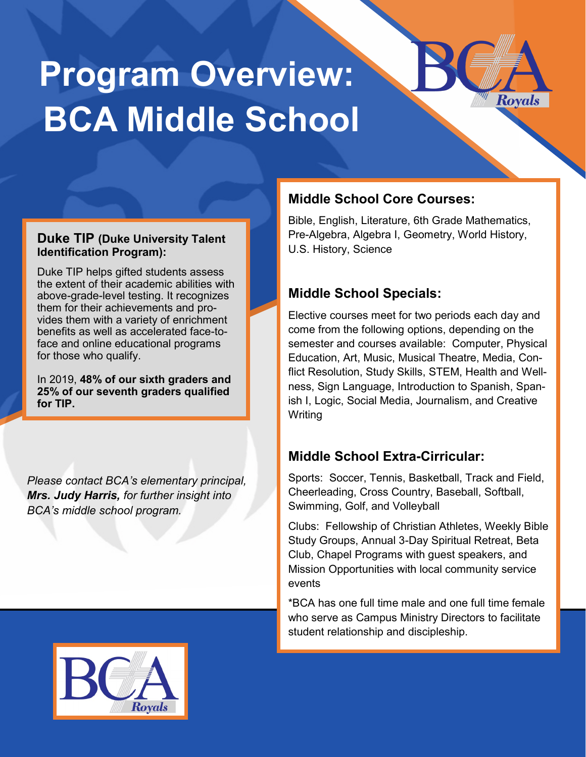# **Program Overview: BCA Middle School**

#### **Duke TIP (Duke University Talent Identification Program):**

Duke TIP helps gifted students assess the extent of their academic abilities with above-grade-level testing. It recognizes them for their achievements and provides them with a variety of enrichment benefits as well as accelerated face-toface and online educational programs for those who qualify.

In 2019, **48% of our sixth graders and 25% of our seventh graders qualified for TIP.**

*Please contact BCA's elementary principal, Mrs. Judy Harris, for further insight into BCA's middle school program.*

## **Middle School Core Courses:**

Bible, English, Literature, 6th Grade Mathematics, Pre-Algebra, Algebra I, Geometry, World History, U.S. History, Science

Royals

## **Middle School Specials:**

Elective courses meet for two periods each day and come from the following options, depending on the semester and courses available: Computer, Physical Education, Art, Music, Musical Theatre, Media, Conflict Resolution, Study Skills, STEM, Health and Wellness, Sign Language, Introduction to Spanish, Spanish I, Logic, Social Media, Journalism, and Creative **Writing** 

#### **Middle School Extra-Cirricular:**

Sports: Soccer, Tennis, Basketball, Track and Field, Cheerleading, Cross Country, Baseball, Softball, Swimming, Golf, and Volleyball

Clubs: Fellowship of Christian Athletes, Weekly Bible Study Groups, Annual 3-Day Spiritual Retreat, Beta Club, Chapel Programs with guest speakers, and Mission Opportunities with local community service events

\*BCA has one full time male and one full time female who serve as Campus Ministry Directors to facilitate student relationship and discipleship.